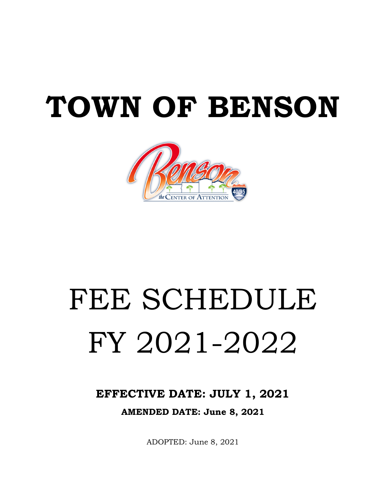# **TOWN OF BENSON**



# FEE SCHEDULE FY 2021-2022

**EFFECTIVE DATE: JULY 1, 2021 AMENDED DATE: June 8, 2021**

ADOPTED: June 8, 2021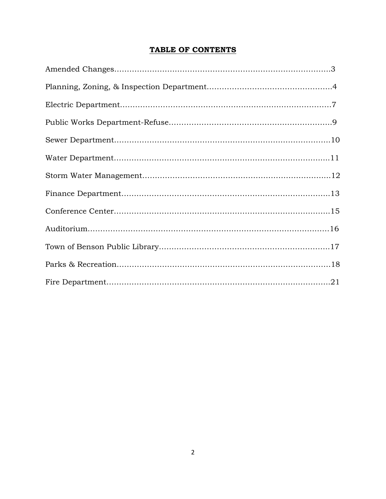# **TABLE OF CONTENTS**

| $\textbf{Fire Department} \textcolor{red}{\textbf{.}} \textcolor{red}{\textbf{.}} \textcolor{red}{\textbf{.}} \textcolor{red}{\textbf{.}} \textcolor{red}{\textbf{.}} \textcolor{red}{\textbf{.}} \textcolor{red}{\textbf{.}} \textcolor{red}{\textbf{.}} \textcolor{red}{\textbf{.}} \textcolor{red}{\textbf{.}} \textcolor{red}{\textbf{.}} \textcolor{red}{\textbf{.}} \textcolor{red}{\textbf{.}} \textcolor{red}{\textbf{.}} \textcolor{red}{\textbf{.}} \textcolor{red}{\textbf{.}} \textcolor{red}{\textbf{.}} \textcolor{red}{\textbf$ |  |
|------------------------------------------------------------------------------------------------------------------------------------------------------------------------------------------------------------------------------------------------------------------------------------------------------------------------------------------------------------------------------------------------------------------------------------------------------------------------------------------------------------------------------------------------|--|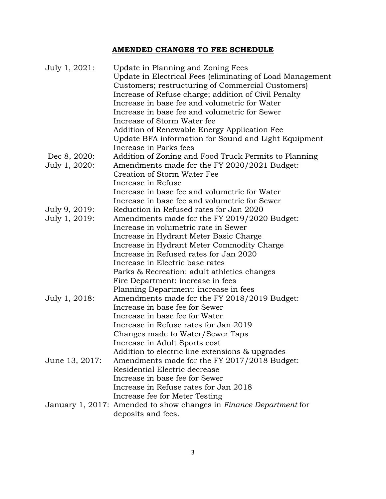# **AMENDED CHANGES TO FEE SCHEDULE**

| July 1, 2021:  | Update in Planning and Zoning Fees                                 |
|----------------|--------------------------------------------------------------------|
|                | Update in Electrical Fees (eliminating of Load Management          |
|                | Customers; restructuring of Commercial Customers)                  |
|                | Increase of Refuse charge; addition of Civil Penalty               |
|                | Increase in base fee and volumetric for Water                      |
|                | Increase in base fee and volumetric for Sewer                      |
|                | Increase of Storm Water fee                                        |
|                | Addition of Renewable Energy Application Fee                       |
|                | Update BFA information for Sound and Light Equipment               |
|                | Increase in Parks fees                                             |
| Dec 8, 2020:   | Addition of Zoning and Food Truck Permits to Planning              |
| July 1, 2020:  | Amendments made for the FY 2020/2021 Budget:                       |
|                | Creation of Storm Water Fee                                        |
|                | Increase in Refuse                                                 |
|                | Increase in base fee and volumetric for Water                      |
|                | Increase in base fee and volumetric for Sewer                      |
| July 9, 2019:  | Reduction in Refused rates for Jan 2020                            |
| July 1, 2019:  | Amendments made for the FY 2019/2020 Budget:                       |
|                | Increase in volumetric rate in Sewer                               |
|                | Increase in Hydrant Meter Basic Charge                             |
|                | Increase in Hydrant Meter Commodity Charge                         |
|                | Increase in Refused rates for Jan 2020                             |
|                | Increase in Electric base rates                                    |
|                | Parks & Recreation: adult athletics changes                        |
|                | Fire Department: increase in fees                                  |
|                | Planning Department: increase in fees                              |
| July 1, 2018:  | Amendments made for the FY 2018/2019 Budget:                       |
|                | Increase in base fee for Sewer                                     |
|                | Increase in base fee for Water                                     |
|                | Increase in Refuse rates for Jan 2019                              |
|                | Changes made to Water/Sewer Taps                                   |
|                | Increase in Adult Sports cost                                      |
|                | Addition to electric line extensions & upgrades                    |
| June 13, 2017: | Amendments made for the FY 2017/2018 Budget:                       |
|                | Residential Electric decrease                                      |
|                | Increase in base fee for Sewer                                     |
|                | Increase in Refuse rates for Jan 2018                              |
|                | Increase fee for Meter Testing                                     |
|                | January 1, 2017: Amended to show changes in Finance Department for |
|                | deposits and fees.                                                 |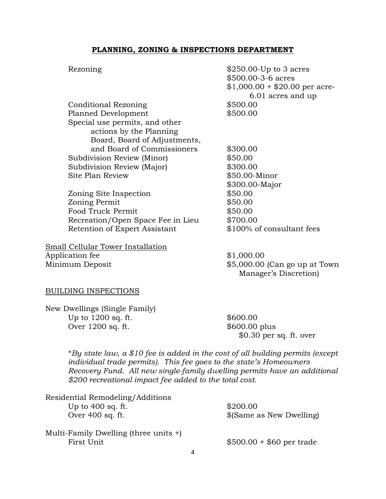#### **PLANNING, ZONING & INSPECTIONS DEPARTMENT**

| Rezoning                          | $$250.00$ -Up to 3 acres       |
|-----------------------------------|--------------------------------|
|                                   | $$500.00 - 3 - 6$ acres        |
|                                   | $$1,000.00 + $20.00$ per acre- |
|                                   | 6.01 acres and up              |
| Conditional Rezoning              | \$500.00                       |
| Planned Development               | \$500.00                       |
| Special use permits, and other    |                                |
| actions by the Planning           |                                |
| Board, Board of Adjustments,      |                                |
| and Board of Commissioners        | \$300.00                       |
| Subdivision Review (Minor)        | \$50.00                        |
| Subdivision Review (Major)        | \$300.00                       |
| Site Plan Review                  | \$50.00-Minor                  |
|                                   | \$300.00-Major                 |
| Zoning Site Inspection            | \$50.00                        |
| Zoning Permit                     | \$50.00                        |
| Food Truck Permit                 | \$50.00                        |
| Recreation/Open Space Fee in Lieu | \$700.00                       |
| Retention of Expert Assistant     | \$100% of consultant fees      |
| Small Cellular Tower Installation |                                |
|                                   | .                              |

Application fee  $$1,000.00$ <br>Minimum Deposit  $$5,000.00$ 

 $$5,000.00$  (Can go up at Town Manager's Discretion)

#### BUILDING INSPECTIONS

New Dwellings (Single Family) Up to  $1200$  sq. ft.  $$600.00$ Over 1200 sq. ft.  $$600.00 \text{ plus}$ 

\$0.30 per sq. ft. over

\**By state law, a \$10 fee is added in the cost of all building permits (except individual trade permits). This fee goes to the state's Homeowners Recovery Fund. All new single-family dwelling permits have an additional \$200 recreational impact fee added to the total cost.* 

| Residential Remodeling/Additions        |                               |
|-----------------------------------------|-------------------------------|
| Up to $400$ sq. ft.                     | \$200.00                      |
| Over $400$ sq. ft.                      | $\{(Same as New Dwelling)\}\$ |
| Multi-Family Dwelling (three units $+)$ |                               |
| First Unit                              | $$500.00 + $60$ per trade     |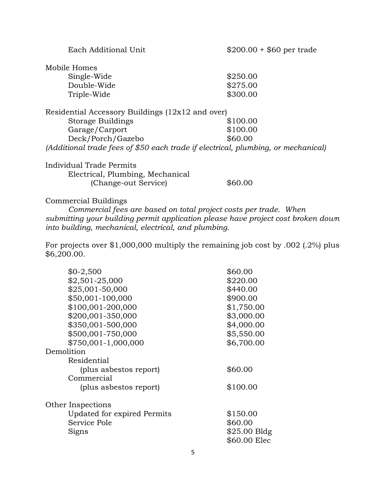| Each Additional Unit                             | $$200.00 + $60$ per trade                                                         |
|--------------------------------------------------|-----------------------------------------------------------------------------------|
| Mobile Homes                                     |                                                                                   |
| Single-Wide                                      | \$250.00                                                                          |
| Double-Wide                                      | \$275.00                                                                          |
| Triple-Wide                                      | \$300.00                                                                          |
| Residential Accessory Buildings (12x12 and over) |                                                                                   |
| Storage Buildings                                | \$100.00                                                                          |
| Garage/Carport                                   | \$100.00                                                                          |
| Deck/Porch/Gazebo                                | \$60.00                                                                           |
|                                                  | (Additional trade fees of \$50 each trade if electrical, plumbing, or mechanical) |
| Individual Trade Permits                         |                                                                                   |
| Flectrical Plumbing Mechanical                   |                                                                                   |

| Electrical, Plumbing, Mechanical |         |
|----------------------------------|---------|
| (Change-out Service)             | \$60.00 |

#### Commercial Buildings

*Commercial fees are based on total project costs per trade. When submitting your building permit application please have project cost broken down into building, mechanical, electrical, and plumbing.* 

For projects over \$1,000,000 multiply the remaining job cost by .002 (.2%) plus \$6,200.00.

| $$0-2,500$                  | \$60.00       |
|-----------------------------|---------------|
| $$2,501-25,000$             | \$220.00      |
| \$25,001-50,000             | \$440.00      |
| \$50,001-100,000            | \$900.00      |
| \$100,001-200,000           | \$1,750.00    |
| \$200,001-350,000           | \$3,000.00    |
| \$350,001-500,000           | \$4,000.00    |
| \$500,001-750,000           | \$5,550.00    |
| \$750,001-1,000,000         | \$6,700.00    |
| Demolition                  |               |
| Residential                 |               |
| (plus asbestos report)      | \$60.00       |
| Commercial                  |               |
| (plus asbestos report)      | \$100.00      |
| Other Inspections           |               |
| Updated for expired Permits | \$150.00      |
| Service Pole                | \$60.00       |
| Signs                       | $$25.00$ Bldg |
|                             | \$60.00 Elec  |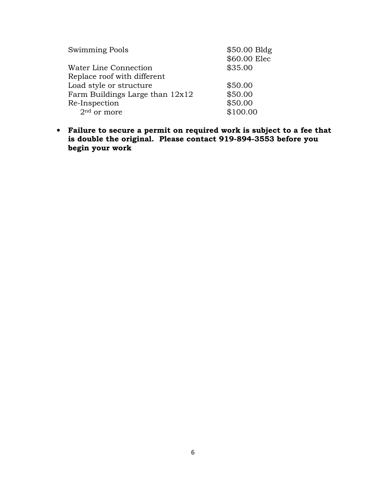| <b>Swimming Pools</b>             | $$50.00$ Bldg |
|-----------------------------------|---------------|
|                                   | \$60.00 Elec  |
| Water Line Connection             | \$35.00       |
| Replace roof with different       |               |
| Load style or structure           | \$50.00       |
| Farm Buildings Large than $12x12$ | \$50.00       |
| Re-Inspection                     | \$50.00       |
| $2nd$ or more                     | \$100.00      |

• **Failure to secure a permit on required work is subject to a fee that is double the original. Please contact 919-894-3553 before you begin your work**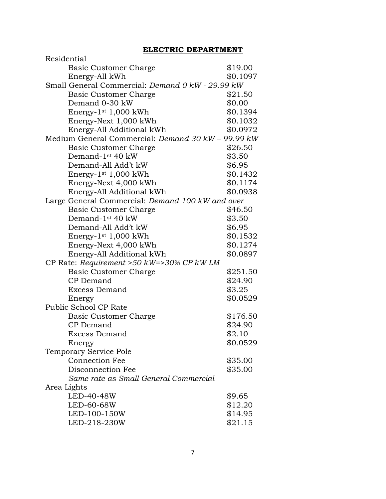# **ELECTRIC DEPARTMENT**

| Residential                                        |          |
|----------------------------------------------------|----------|
| <b>Basic Customer Charge</b>                       | \$19.00  |
| Energy-All kWh                                     | \$0.1097 |
| Small General Commercial: Demand 0 kW - 29.99 kW   |          |
| Basic Customer Charge                              | \$21.50  |
| Demand 0-30 kW                                     | \$0.00   |
| Energy- $1st 1,000$ kWh                            | \$0.1394 |
| Energy-Next 1,000 kWh                              | \$0.1032 |
| Energy-All Additional kWh                          | \$0.0972 |
| Medium General Commercial: Demand 30 kW - 99.99 kW |          |
| <b>Basic Customer Charge</b>                       | \$26.50  |
| Demand-1 <sup>st</sup> 40 kW                       | \$3.50   |
| Demand-All Add't kW                                | \$6.95   |
| Energy- $1st 1,000$ kWh                            | \$0.1432 |
| Energy-Next 4,000 kWh                              | \$0.1174 |
| Energy-All Additional kWh                          | \$0.0938 |
| Large General Commercial: Demand 100 kW and over   |          |
| <b>Basic Customer Charge</b>                       | \$46.50  |
| Demand-1 <sup>st</sup> 40 kW                       | \$3.50   |
| Demand-All Add't kW                                | \$6.95   |
| Energy-1 <sup>st</sup> 1,000 kWh                   | \$0.1532 |
| Energy-Next 4,000 kWh                              | \$0.1274 |
| Energy-All Additional kWh                          | \$0.0897 |
| CP Rate: Requirement >50 kW=>30% CP kW LM          |          |
| <b>Basic Customer Charge</b>                       | \$251.50 |
| CP Demand                                          | \$24.90  |
| <b>Excess Demand</b>                               | \$3.25   |
| Energy                                             | \$0.0529 |
| Public School CP Rate                              |          |
| <b>Basic Customer Charge</b>                       | \$176.50 |
| CP Demand                                          | \$24.90  |
| <b>Excess Demand</b>                               | \$2.10   |
| Energy                                             | \$0.0529 |
| <b>Temporary Service Pole</b>                      |          |
| <b>Connection Fee</b>                              | \$35.00  |
| Disconnection Fee                                  | \$35.00  |
| Same rate as Small General Commercial              |          |
| Area Lights                                        |          |
| LED-40-48W                                         | \$9.65   |
| LED-60-68W                                         | \$12.20  |
| LED-100-150W                                       | \$14.95  |
| LED-218-230W                                       | \$21.15  |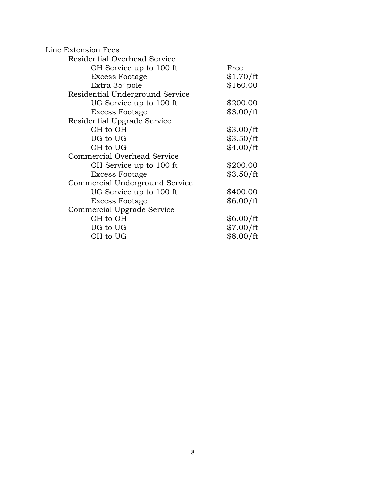| Line Extension Fees             |           |
|---------------------------------|-----------|
| Residential Overhead Service    |           |
| OH Service up to 100 ft         | Free      |
| <b>Excess Footage</b>           | \$1.70/ft |
| Extra 35' pole                  | \$160.00  |
| Residential Underground Service |           |
| UG Service up to 100 ft         | \$200.00  |
| <b>Excess Footage</b>           | \$3.00/ft |
| Residential Upgrade Service     |           |
| OH to OH                        | \$3.00/ft |
| UG to UG                        | \$3.50/ft |
| OH to UG                        | \$4.00/ft |
| Commercial Overhead Service     |           |
| OH Service up to 100 ft         | \$200.00  |
| <b>Excess Footage</b>           | \$3.50/ft |
| Commercial Underground Service  |           |
| UG Service up to 100 ft         | \$400.00  |
| <b>Excess Footage</b>           | \$6.00/ft |
| Commercial Upgrade Service      |           |
| OH to OH                        | \$6.00/ft |
| UG to UG                        | \$7.00/ft |
| OH to UG                        | \$8.00/ft |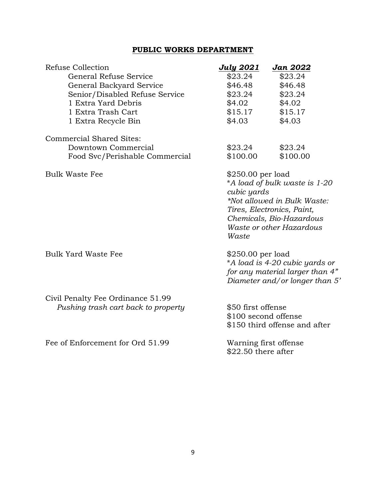# **PUBLIC WORKS DEPARTMENT**

| Refuse Collection                   | <u>July 2021</u>                              | Jan 2022                                                                                                                                           |
|-------------------------------------|-----------------------------------------------|----------------------------------------------------------------------------------------------------------------------------------------------------|
| General Refuse Service              | \$23.24                                       | \$23.24                                                                                                                                            |
| General Backyard Service            | \$46.48                                       | \$46.48                                                                                                                                            |
| Senior/Disabled Refuse Service      | \$23.24                                       | \$23.24                                                                                                                                            |
| 1 Extra Yard Debris                 | \$4.02                                        | \$4.02                                                                                                                                             |
| 1 Extra Trash Cart                  | \$15.17                                       | \$15.17                                                                                                                                            |
| 1 Extra Recycle Bin                 | \$4.03                                        | \$4.03                                                                                                                                             |
| <b>Commercial Shared Sites:</b>     |                                               |                                                                                                                                                    |
| Downtown Commercial                 | \$23.24                                       | \$23.24                                                                                                                                            |
| Food Svc/Perishable Commercial      | \$100.00                                      | \$100.00                                                                                                                                           |
| <b>Bulk Waste Fee</b>               | \$250.00 per load<br>cubic yards<br>Waste     | *A load of bulk waste is 1-20<br>*Not allowed in Bulk Waste:<br>Tires, Electronics, Paint,<br>Chemicals, Bio-Hazardous<br>Waste or other Hazardous |
| <b>Bulk Yard Waste Fee</b>          | \$250.00 per load                             | *A load is 4-20 cubic yards or<br>for any material larger than 4"<br>Diameter and/or longer than 5'                                                |
| Civil Penalty Fee Ordinance 51.99   |                                               |                                                                                                                                                    |
| Pushing trash cart back to property | \$50 first offense<br>\$100 second offense    | \$150 third offense and after                                                                                                                      |
| Fee of Enforcement for Ord 51.99    | Warning first offense<br>$$22.50$ there after |                                                                                                                                                    |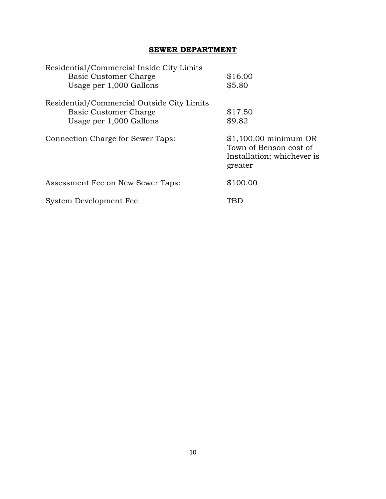# **SEWER DEPARTMENT**

| Residential/Commercial Inside City Limits  |                                                                                           |
|--------------------------------------------|-------------------------------------------------------------------------------------------|
| Basic Customer Charge                      | \$16.00                                                                                   |
| Usage per 1,000 Gallons                    | \$5.80                                                                                    |
| Residential/Commercial Outside City Limits |                                                                                           |
| Basic Customer Charge                      | \$17.50                                                                                   |
| Usage per 1,000 Gallons                    | \$9.82                                                                                    |
| Connection Charge for Sewer Taps:          | $$1,100.00$ minimum OR<br>Town of Benson cost of<br>Installation; whichever is<br>greater |
| Assessment Fee on New Sewer Taps:          | \$100.00                                                                                  |
| System Development Fee                     |                                                                                           |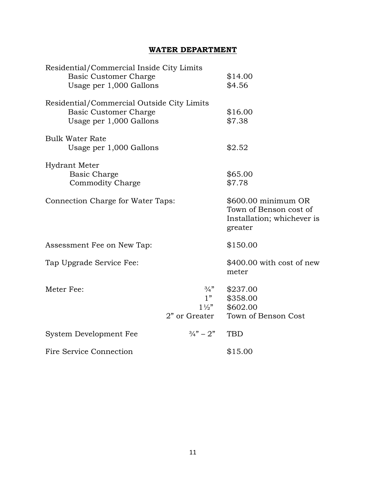# **WATER DEPARTMENT**

| Residential/Commercial Inside City Limits<br><b>Basic Customer Charge</b><br>Usage per 1,000 Gallons  |                                                          | \$14.00<br>\$4.56                                                                      |
|-------------------------------------------------------------------------------------------------------|----------------------------------------------------------|----------------------------------------------------------------------------------------|
| Residential/Commercial Outside City Limits<br><b>Basic Customer Charge</b><br>Usage per 1,000 Gallons |                                                          | \$16.00<br>\$7.38                                                                      |
| Bulk Water Rate                                                                                       |                                                          |                                                                                        |
| Usage per 1,000 Gallons                                                                               |                                                          | \$2.52                                                                                 |
| <b>Hydrant Meter</b><br>Basic Charge<br><b>Commodity Charge</b>                                       |                                                          | \$65.00<br>\$7.78                                                                      |
| Connection Charge for Water Taps:                                                                     |                                                          | \$600.00 minimum OR<br>Town of Benson cost of<br>Installation; whichever is<br>greater |
| Assessment Fee on New Tap:                                                                            |                                                          | \$150.00                                                                               |
| Tap Upgrade Service Fee:                                                                              |                                                          | \$400.00 with cost of new<br>meter                                                     |
| Meter Fee:                                                                                            | $\frac{3}{4}$ "<br>1"<br>$1\frac{1}{2}$<br>2" or Greater | \$237.00<br>\$358.00<br>\$602.00<br>Town of Benson Cost                                |
| System Development Fee                                                                                | $\frac{3}{4}$ " – 2"                                     | <b>TBD</b>                                                                             |
| Fire Service Connection                                                                               |                                                          | \$15.00                                                                                |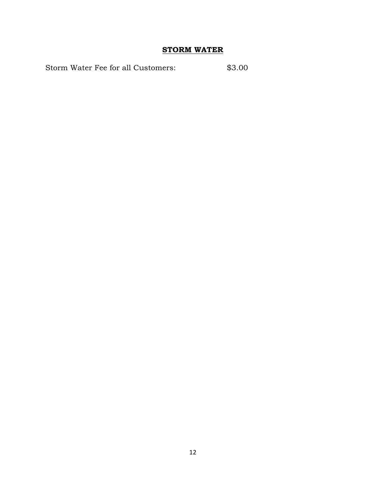# **STORM WATER**

Storm Water Fee for all Customers:  $$3.00$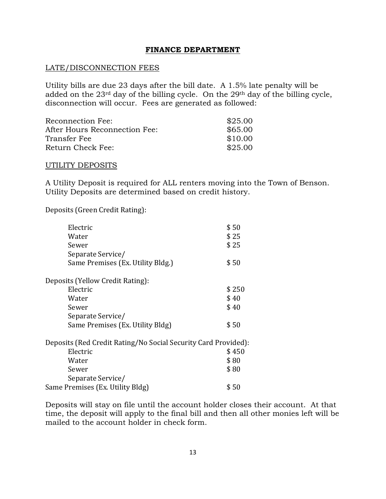#### **FINANCE DEPARTMENT**

#### LATE/DISCONNECTION FEES

Utility bills are due 23 days after the bill date. A 1.5% late penalty will be added on the 23rd day of the billing cycle. On the 29th day of the billing cycle, disconnection will occur. Fees are generated as followed:

| Reconnection Fee:             | \$25.00 |
|-------------------------------|---------|
| After Hours Reconnection Fee: | \$65.00 |
| Transfer Fee                  | \$10.00 |
| Return Check Fee:             | \$25.00 |

#### UTILITY DEPOSITS

A Utility Deposit is required for ALL renters moving into the Town of Benson. Utility Deposits are determined based on credit history.

Deposits (Green Credit Rating):

| Electric                                                       | \$50  |
|----------------------------------------------------------------|-------|
| Water                                                          | \$25  |
| Sewer                                                          | \$25  |
| Separate Service/                                              |       |
| Same Premises (Ex. Utility Bldg.)                              | \$50  |
| Deposits (Yellow Credit Rating):                               |       |
| Electric                                                       | \$250 |
| Water                                                          | \$40  |
| Sewer                                                          | \$40  |
| Separate Service/                                              |       |
| Same Premises (Ex. Utility Bldg)                               | \$50  |
| Deposits (Red Credit Rating/No Social Security Card Provided): |       |
| Electric                                                       | \$450 |
| Water                                                          | \$80  |
| Sewer                                                          | \$80  |
| Separate Service/                                              |       |
| Same Premises (Ex. Utility Bldg)                               | \$ 50 |
|                                                                |       |

Deposits will stay on file until the account holder closes their account. At that time, the deposit will apply to the final bill and then all other monies left will be mailed to the account holder in check form.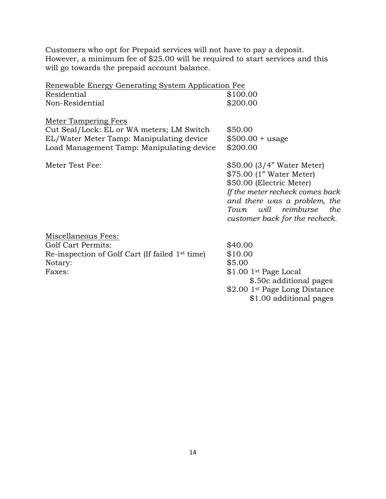Customers who opt for Prepaid services will not have to pay a deposit. However, a minimum fee of \$25.00 will be required to start services and this will go towards the prepaid account balance.

| Renewable Energy Generating System Application Fee          |                                                                                                                                                                                                                          |
|-------------------------------------------------------------|--------------------------------------------------------------------------------------------------------------------------------------------------------------------------------------------------------------------------|
| Residential                                                 | \$100.00                                                                                                                                                                                                                 |
| Non-Residential                                             | \$200.00                                                                                                                                                                                                                 |
| Meter Tampering Fees                                        |                                                                                                                                                                                                                          |
| Cut Seal/Lock: EL or WA meters; LM Switch                   | \$50.00                                                                                                                                                                                                                  |
| EL/Water Meter Tamp: Manipulating device                    | $$500.00 + usage$                                                                                                                                                                                                        |
| Load Management Tamp: Manipulating device                   | \$200.00                                                                                                                                                                                                                 |
| Meter Test Fee:                                             | \$50.00 (3/4" Water Meter)<br>\$75.00 (1" Water Meter)<br>\$50.00 (Electric Meter)<br>If the meter recheck comes back<br>and there was a problem, the<br>will reimburse<br>the<br>Town<br>customer back for the recheck. |
| Miscellaneous Fees:                                         |                                                                                                                                                                                                                          |
| <b>Golf Cart Permits:</b>                                   | \$40.00                                                                                                                                                                                                                  |
| Re-inspection of Golf Cart (If failed 1 <sup>st</sup> time) | \$10.00                                                                                                                                                                                                                  |
| Notary:                                                     | \$5.00                                                                                                                                                                                                                   |
| Faxes:                                                      | \$1.00 1st Page Local                                                                                                                                                                                                    |
|                                                             | \$.50c additional pages                                                                                                                                                                                                  |
|                                                             | \$2.00 1st Page Long Distance                                                                                                                                                                                            |
|                                                             | \$1.00 additional pages                                                                                                                                                                                                  |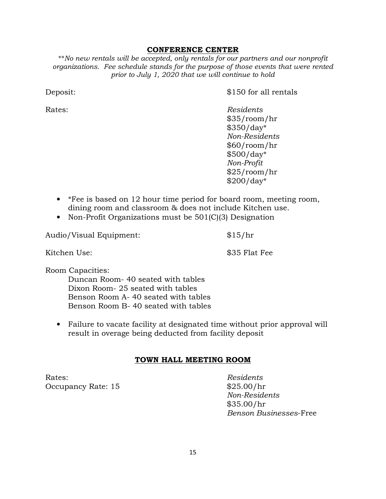#### **CONFERENCE CENTER**

\*\**No new rentals will be accepted, only rentals for our partners and our nonprofit organizations. Fee schedule stands for the purpose of those events that were rented prior to July 1, 2020 that we will continue to hold*

Deposit:  $$150$  for all rentals

Rates: *Residents* \$35/room/hr \$350/day\* *Non-Residents*  \$60/room/hr \$500/day\* *Non-Profit*  \$25/room/hr \$200/day\*

- \*Fee is based on 12 hour time period for board room, meeting room, dining room and classroom & does not include Kitchen use.
- Non-Profit Organizations must be 501(C)(3) Designation

Audio/Visual Equipment: \$15/hr

Kitchen Use:  $$35$  Flat Fee

Room Capacities:

 Duncan Room- 40 seated with tables Dixon Room- 25 seated with tables Benson Room A- 40 seated with tables Benson Room B- 40 seated with tables

• Failure to vacate facility at designated time without prior approval will result in overage being deducted from facility deposit

#### **TOWN HALL MEETING ROOM**

Rates: *Residents*  Occupancy Rate: 15  $$25.00/hr$ 

 *Non-Residents* \$35.00/hr *Benson Businesses*-Free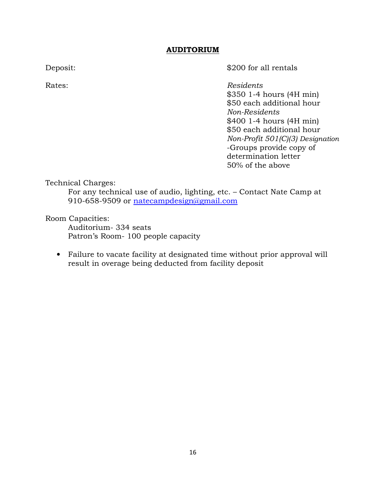#### **AUDITORIUM**

Deposit:  $$200$  for all rentals

Rates: *Residents* \$350 1-4 hours (4H min) \$50 each additional hour *Non-Residents*  \$400 1-4 hours (4H min) \$50 each additional hour *Non-Profit 501(C)(3) Designation* -Groups provide copy of determination letter 50% of the above

Technical Charges:

For any technical use of audio, lighting, etc. – Contact Nate Camp at 910-658-9509 or natecampdesign@gmail.com

Room Capacities:

 Auditorium- 334 seats Patron's Room- 100 people capacity

• Failure to vacate facility at designated time without prior approval will result in overage being deducted from facility deposit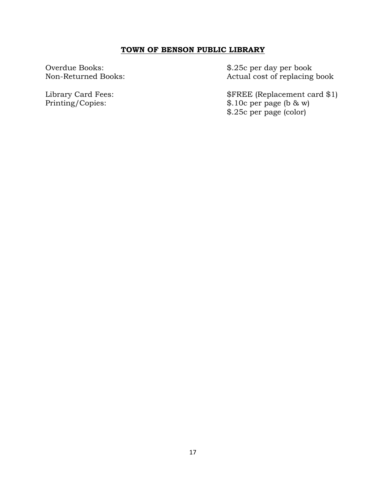### **TOWN OF BENSON PUBLIC LIBRARY**

Overdue Books:<br>
Non-Returned Books:<br>
Non-Returned Books:<br>  $\frac{1}{2}$  Actual cost of replacing Actual cost of replacing book

Library Card Fees: \$FREE (Replacement card \$1)<br>Printing/Copies: \$.10c per page (b & w)  $$.10c$  per page (b & w) \$.25c per page (color)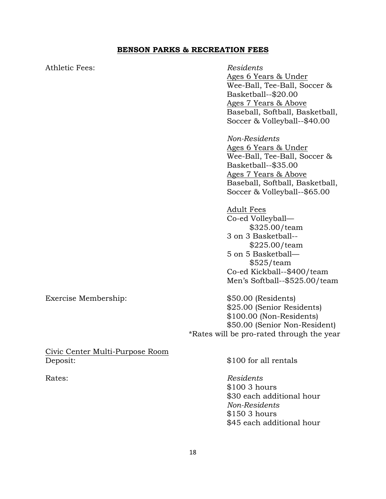#### **BENSON PARKS & RECREATION FEES**

Athletic Fees: *Residents* 

# Ages 6 Years & Under Wee-Ball, Tee-Ball, Soccer & Basketball--\$20.00 Ages 7 Years & Above Baseball, Softball, Basketball, Soccer & Volleyball--\$40.00

*Non-Residents* 

Ages 6 Years & Under Wee-Ball, Tee-Ball, Soccer & Basketball--\$35.00 Ages 7 Years & Above Baseball, Softball, Basketball, Soccer & Volleyball--\$65.00

Adult Fees Co-ed Volleyball— \$325.00/team 3 on 3 Basketball-- \$225.00/team 5 on 5 Basketball— \$525/team Co-ed Kickball--\$400/team Men's Softball--\$525.00/team

Exercise Membership:  $$50.00$  (Residents) \$25.00 (Senior Residents) \$100.00 (Non-Residents) \$50.00 (Senior Non-Resident) \*Rates will be pro-rated through the year

Civic Center Multi-Purpose Room Deposit:  $$100$  for all rentals

Rates: *Residents* \$100 3 hours \$30 each additional hour *Non-Residents*  \$150 3 hours \$45 each additional hour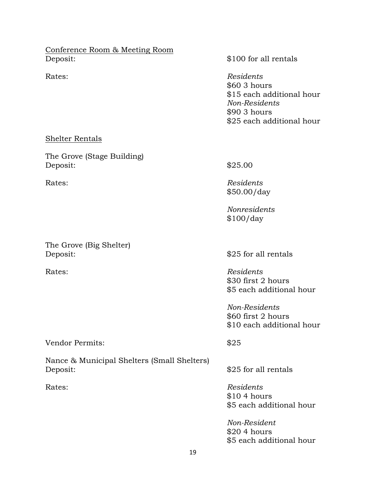Conference Room & Meeting Room Deposit:  $$100$  for all rentals

Rates: *Residents* \$60 3 hours \$15 each additional hour *Non-Residents*  \$90 3 hours \$25 each additional hour

#### Shelter Rentals

The Grove (Stage Building) Deposit:  $$25.00$ 

The Grove (Big Shelter) Deposit:  $$25$  for all rentals

Rates: *Residents* \$50.00/day

> *Nonresidents*  \$100/day

Rates: *Residents* \$30 first 2 hours \$5 each additional hour

> *Non-Residents*  \$60 first 2 hours \$10 each additional hour

Vendor Permits:  $$25$ 

Nance & Municipal Shelters (Small Shelters)

\$25 for all rentals

Rates: *Residents* \$10 4 hours \$5 each additional hour

> *Non-Resident*  \$20 4 hours \$5 each additional hour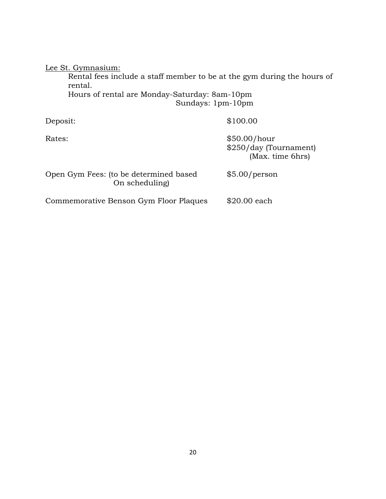Lee St. Gymnasium:

Rental fees include a staff member to be at the gym during the hours of rental.

Hours of rental are Monday-Saturday: 8am-10pm Sundays: 1pm-10pm

Deposit: \$100.00

| Rates:                                                   | \$50.00/hour<br>\$250/day (Tournament)<br>(Max. time 6hrs) |
|----------------------------------------------------------|------------------------------------------------------------|
| Open Gym Fees: (to be determined based)<br>On scheduling | \$5.00/person                                              |

Commemorative Benson Gym Floor Plaques \$20.00 each